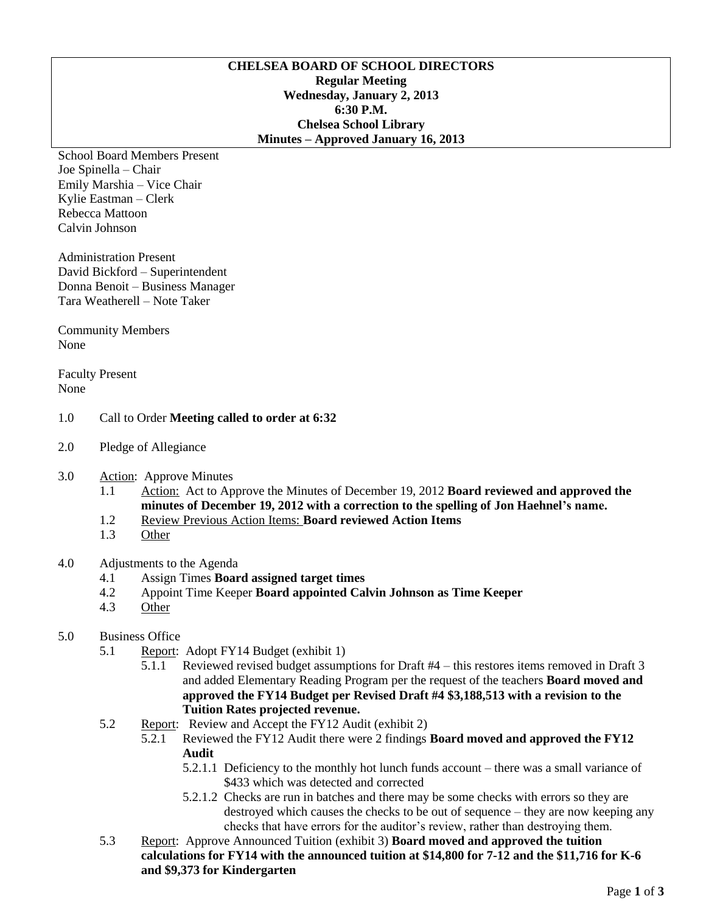#### **CHELSEA BOARD OF SCHOOL DIRECTORS Regular Meeting Wednesday, January 2, 2013 6:30 P.M. Chelsea School Library Minutes – Approved January 16, 2013**

School Board Members Present Joe Spinella – Chair Emily Marshia – Vice Chair Kylie Eastman – Clerk Rebecca Mattoon Calvin Johnson

Administration Present David Bickford – Superintendent Donna Benoit – Business Manager Tara Weatherell – Note Taker

Community Members None

Faculty Present None

#### 1.0 Call to Order **Meeting called to order at 6:32**

- 2.0 Pledge of Allegiance
- 3.0 Action: Approve Minutes
	- 1.1 Action: Act to Approve the Minutes of December 19, 2012 **Board reviewed and approved the minutes of December 19, 2012 with a correction to the spelling of Jon Haehnel's name.**
	- 1.2 Review Previous Action Items: **Board reviewed Action Items**
	- 1.3 Other

# 4.0 Adjustments to the Agenda

- 4.1 Assign Times **Board assigned target times**
- 4.2 Appoint Time Keeper **Board appointed Calvin Johnson as Time Keeper**
- 4.3 Other

# 5.0 Business Office

- 5.1 Report: Adopt FY14 Budget (exhibit 1)
	- 5.1.1 Reviewed revised budget assumptions for Draft #4 this restores items removed in Draft 3 and added Elementary Reading Program per the request of the teachers **Board moved and approved the FY14 Budget per Revised Draft #4 \$3,188,513 with a revision to the Tuition Rates projected revenue.**
- 5.2 Report: Review and Accept the FY12 Audit (exhibit 2)
	- 5.2.1 Reviewed the FY12 Audit there were 2 findings **Board moved and approved the FY12 Audit**
		- 5.2.1.1 Deficiency to the monthly hot lunch funds account there was a small variance of \$433 which was detected and corrected
		- 5.2.1.2 Checks are run in batches and there may be some checks with errors so they are destroyed which causes the checks to be out of sequence – they are now keeping any checks that have errors for the auditor's review, rather than destroying them.
- 5.3 Report: Approve Announced Tuition (exhibit 3) **Board moved and approved the tuition calculations for FY14 with the announced tuition at \$14,800 for 7-12 and the \$11,716 for K-6 and \$9,373 for Kindergarten**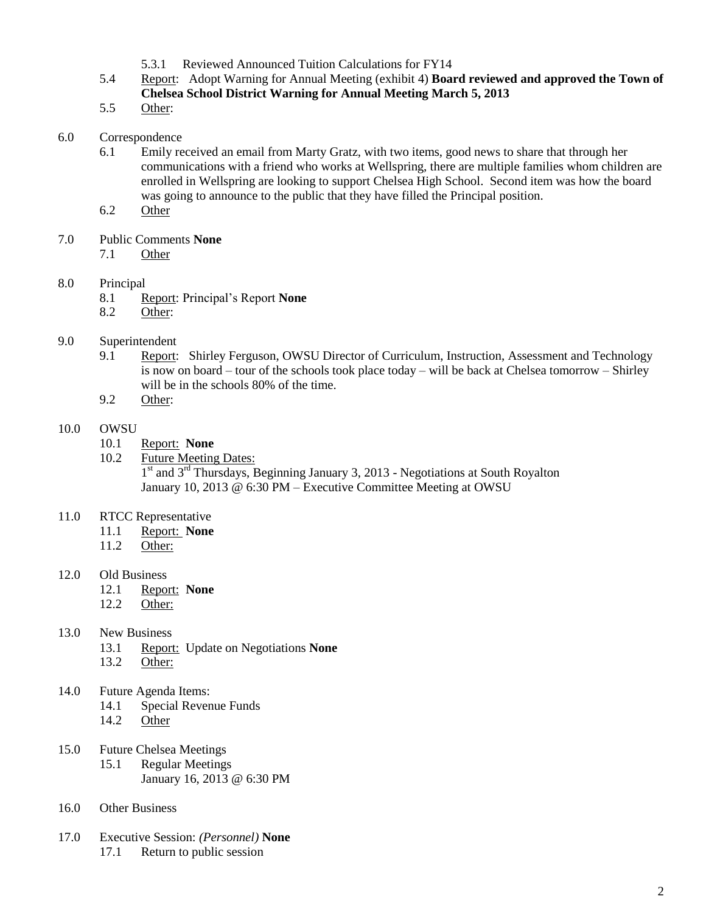- 5.3.1 Reviewed Announced Tuition Calculations for FY14
- 5.4 Report: Adopt Warning for Annual Meeting (exhibit 4) **Board reviewed and approved the Town of Chelsea School District Warning for Annual Meeting March 5, 2013**
- 5.5 Other:
- 6.0 Correspondence
	- 6.1 Emily received an email from Marty Gratz, with two items, good news to share that through her communications with a friend who works at Wellspring, there are multiple families whom children are enrolled in Wellspring are looking to support Chelsea High School. Second item was how the board was going to announce to the public that they have filled the Principal position.
	- 6.2 Other
- 7.0 Public Comments **None**
	- 7.1 Other
- 8.0 Principal
	- 8.1 Report: Principal's Report **None**
	- 8.2 Other:
- 9.0 Superintendent
	- 9.1 Report: Shirley Ferguson, OWSU Director of Curriculum, Instruction, Assessment and Technology is now on board – tour of the schools took place today – will be back at Chelsea tomorrow – Shirley will be in the schools 80% of the time.
	- 9.2 Other:

### 10.0 OWSU

- 10.1 Report: **None**
- 10.2 Future Meeting Dates: 1<sup>st</sup> and 3<sup>rd</sup> Thursdays, Beginning January 3, 2013 - Negotiations at South Royalton January 10, 2013 @ 6:30 PM – Executive Committee Meeting at OWSU
- 11.0 RTCC Representative
	- 11.1 Report: **None**
	- 11.2 Other:
- 12.0 Old Business
	- 12.1 Report: **None**
	- 12.2 Other:
- 13.0 New Business
	- 13.1 Report: Update on Negotiations **None**
	- 13.2 Other:
- 14.0 Future Agenda Items:
	- 14.1 Special Revenue Funds
	- 14.2 Other
- 15.0 Future Chelsea Meetings
	- 15.1 Regular Meetings January 16, 2013 @ 6:30 PM
- 16.0 Other Business
- 17.0 Executive Session: *(Personnel)* **None** 17.1 Return to public session